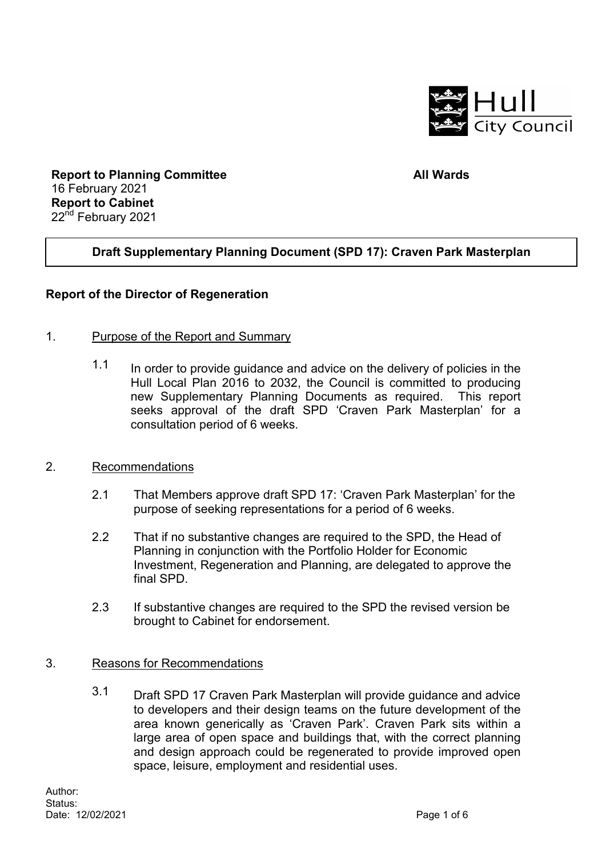

**Report to Planning Committee** 16 February 2021 **Report to Cabinet** 22<sup>nd</sup> February 2021

#### **All Wards**

# **Draft Supplementary Planning Document (SPD 17): Craven Park Masterplan**

#### **Report of the Director of Regeneration**

#### 1. Purpose of the Report and Summary

 $1.1$  In order to provide guidance and advice on the delivery of policies in the Hull Local Plan 2016 to 2032, the Council is committed to producing new Supplementary Planning Documents as required. This report seeks approval of the draft SPD 'Craven Park Masterplan' for a consultation period of 6 weeks.

#### 2. Recommendations

- 2.1 That Members approve draft SPD 17: 'Craven Park Masterplan' for the purpose of seeking representations for a period of 6 weeks.
- 2.2 That if no substantive changes are required to the SPD, the Head of Planning in conjunction with the Portfolio Holder for Economic Investment, Regeneration and Planning, are delegated to approve the final SPD.
- 2.3 If substantive changes are required to the SPD the revised version be brought to Cabinet for endorsement.

#### 3. Reasons for Recommendations

 3.1 Draft SPD 17 Craven Park Masterplan will provide guidance and advice to developers and their design teams on the future development of the area known generically as 'Craven Park'. Craven Park sits within a large area of open space and buildings that, with the correct planning and design approach could be regenerated to provide improved open space, leisure, employment and residential uses.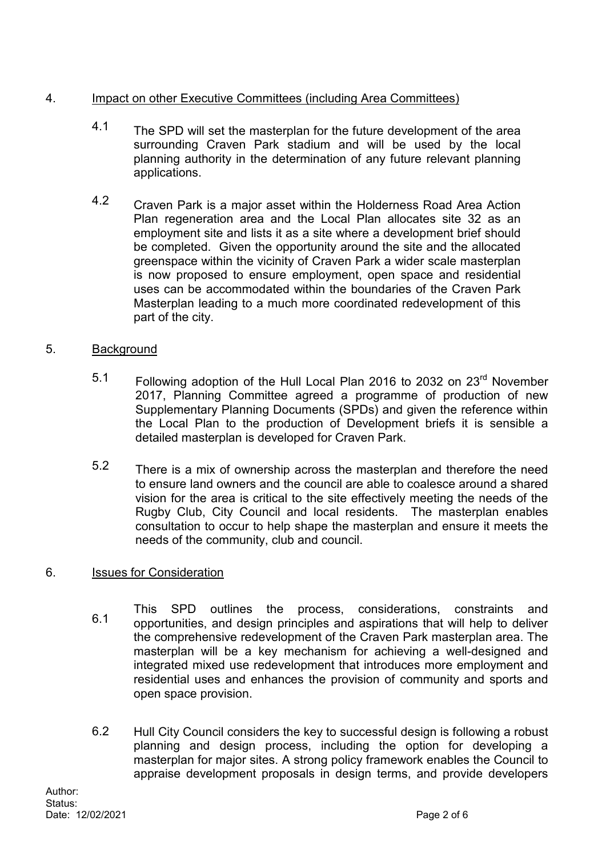# 4. Impact on other Executive Committees (including Area Committees)

- 4.1 The SPD will set the masterplan for the future development of the area surrounding Craven Park stadium and will be used by the local planning authority in the determination of any future relevant planning applications.
- 4.2 Craven Park is a major asset within the Holderness Road Area Action Plan regeneration area and the Local Plan allocates site 32 as an employment site and lists it as a site where a development brief should be completed. Given the opportunity around the site and the allocated greenspace within the vicinity of Craven Park a wider scale masterplan is now proposed to ensure employment, open space and residential uses can be accommodated within the boundaries of the Craven Park Masterplan leading to a much more coordinated redevelopment of this part of the city.

# 5. Background

- 5.1 Following adoption of the Hull Local Plan 2016 to 2032 on 23<sup>rd</sup> November 2017, Planning Committee agreed a programme of production of new Supplementary Planning Documents (SPDs) and given the reference within the Local Plan to the production of Development briefs it is sensible a detailed masterplan is developed for Craven Park.
- 5.2 There is a mix of ownership across the masterplan and therefore the need to ensure land owners and the council are able to coalesce around a shared vision for the area is critical to the site effectively meeting the needs of the Rugby Club, City Council and local residents. The masterplan enables consultation to occur to help shape the masterplan and ensure it meets the needs of the community, club and council.

# 6. Issues for Consideration

- 6.1 This SPD outlines the process, considerations, constraints and opportunities, and design principles and aspirations that will help to deliver the comprehensive redevelopment of the Craven Park masterplan area. The masterplan will be a key mechanism for achieving a well-designed and integrated mixed use redevelopment that introduces more employment and residential uses and enhances the provision of community and sports and open space provision.
- 6.2 Hull City Council considers the key to successful design is following a robust planning and design process, including the option for developing a masterplan for major sites. A strong policy framework enables the Council to appraise development proposals in design terms, and provide developers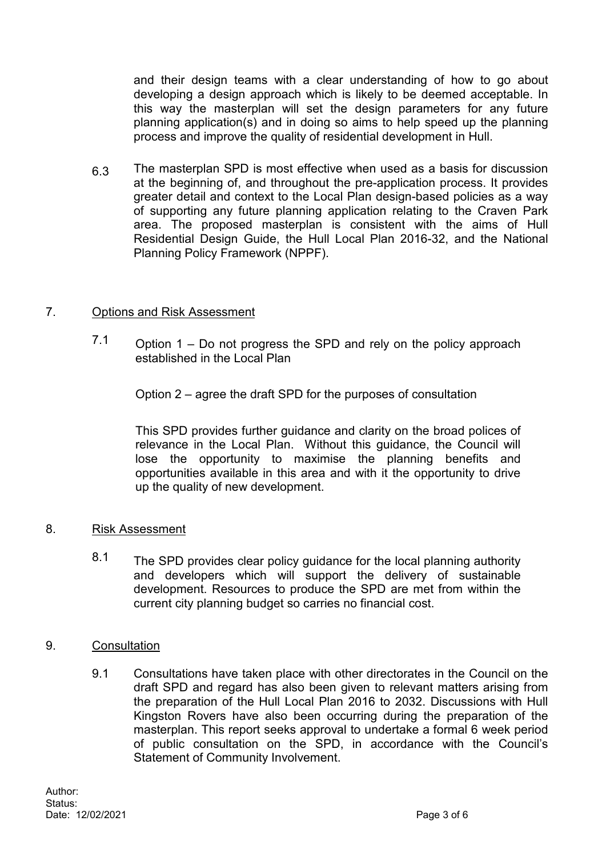and their design teams with a clear understanding of how to go about developing a design approach which is likely to be deemed acceptable. In this way the masterplan will set the design parameters for any future planning application(s) and in doing so aims to help speed up the planning process and improve the quality of residential development in Hull.

6.3 The masterplan SPD is most effective when used as a basis for discussion at the beginning of, and throughout the pre-application process. It provides greater detail and context to the Local Plan design-based policies as a way of supporting any future planning application relating to the Craven Park area. The proposed masterplan is consistent with the aims of Hull Residential Design Guide, the Hull Local Plan 2016-32, and the National Planning Policy Framework (NPPF).

## 7. Options and Risk Assessment

7.1 Option  $1 - Do$  not progress the SPD and rely on the policy approach established in the Local Plan

Option 2 – agree the draft SPD for the purposes of consultation

This SPD provides further guidance and clarity on the broad polices of relevance in the Local Plan. Without this guidance, the Council will lose the opportunity to maximise the planning benefits and opportunities available in this area and with it the opportunity to drive up the quality of new development.

#### 8. Risk Assessment

8.1 The SPD provides clear policy guidance for the local planning authority and developers which will support the delivery of sustainable development. Resources to produce the SPD are met from within the current city planning budget so carries no financial cost.

#### 9. Consultation

 9.1 Consultations have taken place with other directorates in the Council on the draft SPD and regard has also been given to relevant matters arising from the preparation of the Hull Local Plan 2016 to 2032. Discussions with Hull Kingston Rovers have also been occurring during the preparation of the masterplan. This report seeks approval to undertake a formal 6 week period of public consultation on the SPD, in accordance with the Council's Statement of Community Involvement.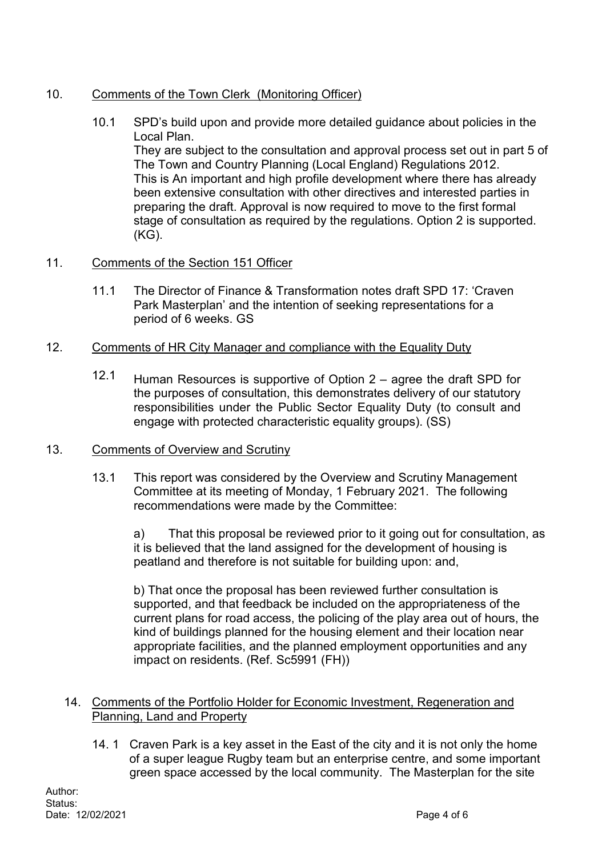# 10. Comments of the Town Clerk (Monitoring Officer)

 10.1 SPD's build upon and provide more detailed guidance about policies in the Local Plan.

They are subject to the consultation and approval process set out in part 5 of The Town and Country Planning (Local England) Regulations 2012. This is An important and high profile development where there has already been extensive consultation with other directives and interested parties in preparing the draft. Approval is now required to move to the first formal stage of consultation as required by the regulations. Option 2 is supported. (KG).

# 11. Comments of the Section 151 Officer

 11.1 The Director of Finance & Transformation notes draft SPD 17: 'Craven Park Masterplan' and the intention of seeking representations for a period of 6 weeks. GS

## 12. Comments of HR City Manager and compliance with the Equality Duty

 12.1 Human Resources is supportive of Option 2 – agree the draft SPD for the purposes of consultation, this demonstrates delivery of our statutory responsibilities under the Public Sector Equality Duty (to consult and engage with protected characteristic equality groups). (SS)

#### 13. Comments of Overview and Scrutiny

 13.1 This report was considered by the Overview and Scrutiny Management Committee at its meeting of Monday, 1 February 2021. The following recommendations were made by the Committee:

a) That this proposal be reviewed prior to it going out for consultation, as it is believed that the land assigned for the development of housing is peatland and therefore is not suitable for building upon: and,

b) That once the proposal has been reviewed further consultation is supported, and that feedback be included on the appropriateness of the current plans for road access, the policing of the play area out of hours, the kind of buildings planned for the housing element and their location near appropriate facilities, and the planned employment opportunities and any impact on residents. (Ref. Sc5991 (FH))

#### 14. Comments of the Portfolio Holder for Economic Investment, Regeneration and Planning, Land and Property

14. 1 Craven Park is a key asset in the East of the city and it is not only the home of a super league Rugby team but an enterprise centre, and some important green space accessed by the local community. The Masterplan for the site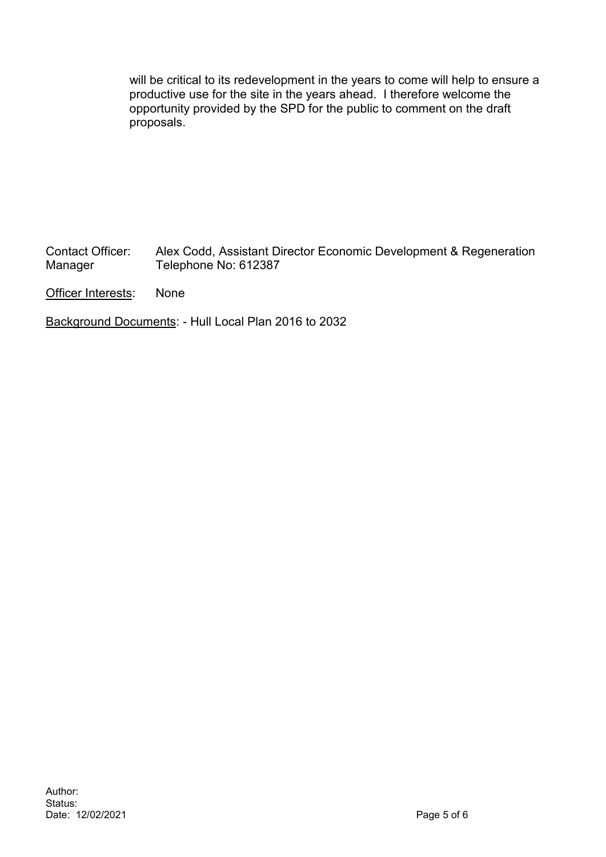will be critical to its redevelopment in the years to come will help to ensure a productive use for the site in the years ahead. I therefore welcome the opportunity provided by the SPD for the public to comment on the draft proposals.

Contact Officer: Alex Codd, Assistant Director Economic Development & Regeneration<br>Manager Telephone No: 612387 Telephone No: 612387

Officer Interests: None

Background Documents: - Hull Local Plan 2016 to 2032